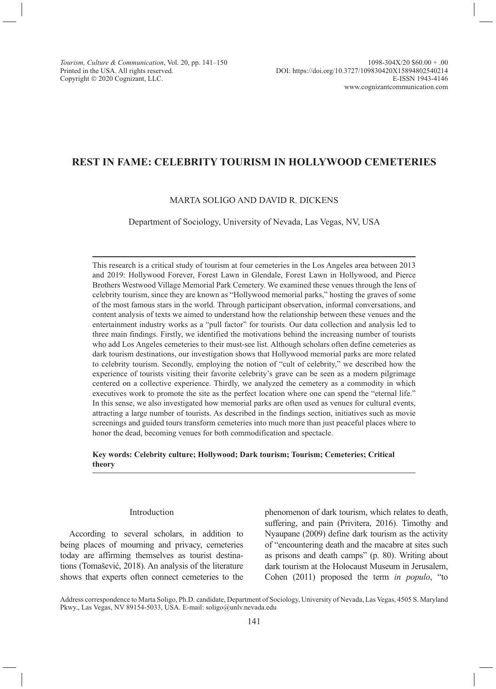Copyright © 2020 Cognizant, LLC.

# **REST IN FAME: CELEBRITY TOURISM IN HOLLYWOOD CEMETERIES**

### MARTA SOLIGO AND DAVID R. DICKENS

Department of Sociology, University of Nevada, Las Vegas, NV, USA

This research is a critical study of tourism at four cemeteries in the Los Angeles area between 2013 and 2019: Hollywood Forever, Forest Lawn in Glendale, Forest Lawn in Hollywood, and Pierce Brothers Westwood Village Memorial Park Cemetery. We examined these venues through the lens of celebrity tourism, since they are known as "Hollywood memorial parks," hosting the graves of some of the most famous stars in the world. Through participant observation, informal conversations, and content analysis of texts we aimed to understand how the relationship between these venues and the entertainment industry works as a "pull factor" for tourists. Our data collection and analysis led to three main findings. Firstly, we identified the motivations behind the increasing number of tourists who add Los Angeles cemeteries to their must-see list. Although scholars often define cemeteries as dark tourism destinations, our investigation shows that Hollywood memorial parks are more related to celebrity tourism. Secondly, employing the notion of "cult of celebrity," we described how the experience of tourists visiting their favorite celebrity's grave can be seen as a modern pilgrimage centered on a collective experience. Thirdly, we analyzed the cemetery as a commodity in which executives work to promote the site as the perfect location where one can spend the "eternal life." In this sense, we also investigated how memorial parks are often used as venues for cultural events, attracting a large number of tourists. As described in the findings section, initiatives such as movie screenings and guided tours transform cemeteries into much more than just peaceful places where to honor the dead, becoming venues for both commodification and spectacle.

### **Key words: Celebrity culture; Hollywood; Dark tourism; Tourism; Cemeteries; Critical theory**

#### Introduction

According to several scholars, in addition to being places of mourning and privacy, cemeteries today are affirming themselves as tourist destinations (Tomašević, 2018). An analysis of the literature shows that experts often connect cemeteries to the phenomenon of dark tourism, which relates to death, suffering, and pain (Privitera, 2016). Timothy and Nyaupane (2009) define dark tourism as the activity of "encountering death and the macabre at sites such as prisons and death camps" (p. 80). Writing about dark tourism at the Holocaust Museum in Jerusalem, Cohen (2011) proposed the term *in populo*, "to

Address correspondence to Marta Soligo, Ph.D. candidate, Department of Sociology, University of Nevada, Las Vegas, 4505 S. Maryland Pkwy., Las Vegas, NV 89154-5033, USA. E-mail: soligo@unlv.nevada.edu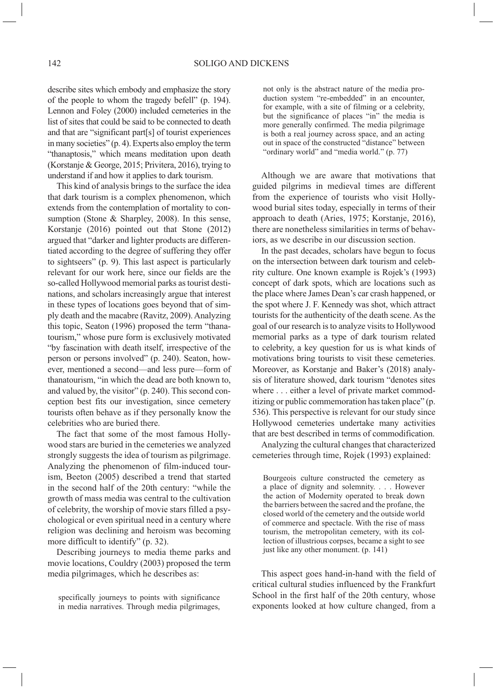describe sites which embody and emphasize the story of the people to whom the tragedy befell" (p. 194). Lennon and Foley (2000) included cemeteries in the list of sites that could be said to be connected to death and that are "significant part[s] of tourist experiences in many societies" (p. 4). Experts also employ the term "thanaptosis," which means meditation upon death (Korstanje & George, 2015; Privitera, 2016), trying to understand if and how it applies to dark tourism.

This kind of analysis brings to the surface the idea that dark tourism is a complex phenomenon, which extends from the contemplation of mortality to consumption (Stone & Sharpley, 2008). In this sense, Korstanje (2016) pointed out that Stone (2012) argued that "darker and lighter products are differentiated according to the degree of suffering they offer to sightseers" (p. 9). This last aspect is particularly relevant for our work here, since our fields are the so-called Hollywood memorial parks as tourist destinations, and scholars increasingly argue that interest in these types of locations goes beyond that of simply death and the macabre (Ravitz, 2009). Analyzing this topic, Seaton (1996) proposed the term "thanatourism," whose pure form is exclusively motivated "by fascination with death itself, irrespective of the person or persons involved" (p. 240). Seaton, however, mentioned a second—and less pure—form of thanatourism, "in which the dead are both known to, and valued by, the visitor" (p. 240). This second conception best fits our investigation, since cemetery tourists often behave as if they personally know the celebrities who are buried there.

The fact that some of the most famous Hollywood stars are buried in the cemeteries we analyzed strongly suggests the idea of tourism as pilgrimage. Analyzing the phenomenon of film-induced tourism, Beeton (2005) described a trend that started in the second half of the 20th century: "while the growth of mass media was central to the cultivation of celebrity, the worship of movie stars filled a psychological or even spiritual need in a century where religion was declining and heroism was becoming more difficult to identify" (p. 32).

Describing journeys to media theme parks and movie locations, Couldry (2003) proposed the term media pilgrimages, which he describes as:

specifically journeys to points with significance in media narratives. Through media pilgrimages, not only is the abstract nature of the media production system "re-embedded" in an encounter, for example, with a site of filming or a celebrity, but the significance of places "in" the media is more generally confirmed. The media pilgrimage is both a real journey across space, and an acting out in space of the constructed "distance" between "ordinary world" and "media world." (p. 77)

Although we are aware that motivations that guided pilgrims in medieval times are different from the experience of tourists who visit Hollywood burial sites today, especially in terms of their approach to death (Aries, 1975; Korstanje, 2016), there are nonetheless similarities in terms of behaviors, as we describe in our discussion section.

In the past decades, scholars have begun to focus on the intersection between dark tourism and celebrity culture. One known example is Rojek's (1993) concept of dark spots, which are locations such as the place where James Dean's car crash happened, or the spot where J. F. Kennedy was shot, which attract tourists for the authenticity of the death scene. As the goal of our research is to analyze visits to Hollywood memorial parks as a type of dark tourism related to celebrity, a key question for us is what kinds of motivations bring tourists to visit these cemeteries. Moreover, as Korstanje and Baker's (2018) analysis of literature showed, dark tourism "denotes sites where . . . either a level of private market commoditizing or public commemoration has taken place" (p. 536). This perspective is relevant for our study since Hollywood cemeteries undertake many activities that are best described in terms of commodification.

Analyzing the cultural changes that characterized cemeteries through time, Rojek (1993) explained:

Bourgeois culture constructed the cemetery as a place of dignity and solemnity. . . . However the action of Modernity operated to break down the barriers between the sacred and the profane, the closed world of the cemetery and the outside world of commerce and spectacle. With the rise of mass tourism, the metropolitan cemetery, with its collection of illustrious corpses, became a sight to see just like any other monument. (p. 141)

This aspect goes hand-in-hand with the field of critical cultural studies influenced by the Frankfurt School in the first half of the 20th century, whose exponents looked at how culture changed, from a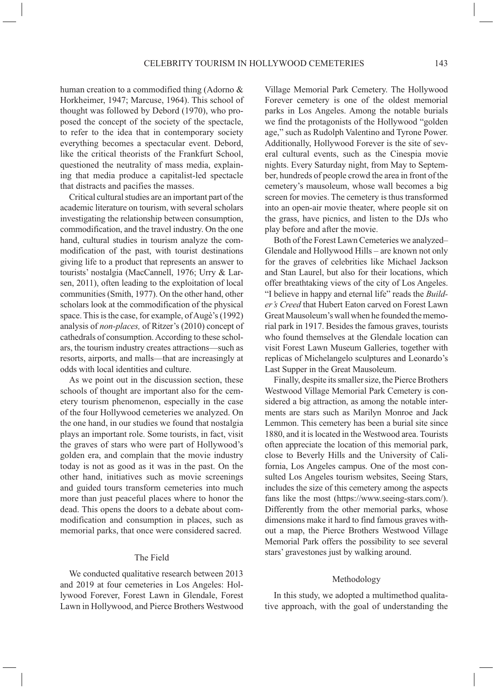human creation to a commodified thing (Adorno & Horkheimer, 1947; Marcuse, 1964). This school of thought was followed by Debord (1970), who proposed the concept of the society of the spectacle, to refer to the idea that in contemporary society everything becomes a spectacular event. Debord, like the critical theorists of the Frankfurt School, questioned the neutrality of mass media, explaining that media produce a capitalist-led spectacle that distracts and pacifies the masses.

Critical cultural studies are an important part of the academic literature on tourism, with several scholars investigating the relationship between consumption, commodification, and the travel industry. On the one hand, cultural studies in tourism analyze the commodification of the past, with tourist destinations giving life to a product that represents an answer to tourists' nostalgia (MacCannell, 1976; Urry & Larsen, 2011), often leading to the exploitation of local communities (Smith, 1977). On the other hand, other scholars look at the commodification of the physical space. This is the case, for example, of Augè's (1992) analysis of *non-places,* of Ritzer's (2010) concept of cathedrals of consumption. According to these scholars, the tourism industry creates attractions—such as resorts, airports, and malls—that are increasingly at odds with local identities and culture.

As we point out in the discussion section, these schools of thought are important also for the cemetery tourism phenomenon, especially in the case of the four Hollywood cemeteries we analyzed. On the one hand, in our studies we found that nostalgia plays an important role. Some tourists, in fact, visit the graves of stars who were part of Hollywood's golden era, and complain that the movie industry today is not as good as it was in the past. On the other hand, initiatives such as movie screenings and guided tours transform cemeteries into much more than just peaceful places where to honor the dead. This opens the doors to a debate about commodification and consumption in places, such as memorial parks, that once were considered sacred.

#### The Field

We conducted qualitative research between 2013 and 2019 at four cemeteries in Los Angeles: Hollywood Forever, Forest Lawn in Glendale, Forest Lawn in Hollywood, and Pierce Brothers Westwood Village Memorial Park Cemetery. The Hollywood Forever cemetery is one of the oldest memorial parks in Los Angeles. Among the notable burials we find the protagonists of the Hollywood "golden age," such as Rudolph Valentino and Tyrone Power. Additionally, Hollywood Forever is the site of several cultural events, such as the Cinespia movie nights. Every Saturday night, from May to September, hundreds of people crowd the area in front of the cemetery's mausoleum, whose wall becomes a big screen for movies. The cemetery is thus transformed into an open-air movie theater, where people sit on the grass, have picnics, and listen to the DJs who play before and after the movie.

Both of the Forest Lawn Cemeteries we analyzed– Glendale and Hollywood Hills – are known not only for the graves of celebrities like Michael Jackson and Stan Laurel, but also for their locations, which offer breathtaking views of the city of Los Angeles. "I believe in happy and eternal life" reads the *Builder's Creed* that Hubert Eaton carved on Forest Lawn Great Mausoleum's wall when he founded the memorial park in 1917. Besides the famous graves, tourists who found themselves at the Glendale location can visit Forest Lawn Museum Galleries, together with replicas of Michelangelo sculptures and Leonardo's Last Supper in the Great Mausoleum.

Finally, despite its smaller size, the Pierce Brothers Westwood Village Memorial Park Cemetery is considered a big attraction, as among the notable interments are stars such as Marilyn Monroe and Jack Lemmon. This cemetery has been a burial site since 1880, and it is located in the Westwood area. Tourists often appreciate the location of this memorial park, close to Beverly Hills and the University of California, Los Angeles campus. One of the most consulted Los Angeles tourism websites, Seeing Stars, includes the size of this cemetery among the aspects fans like the most (https://www.seeing-stars.com/). Differently from the other memorial parks, whose dimensions make it hard to find famous graves without a map, the Pierce Brothers Westwood Village Memorial Park offers the possibility to see several stars' gravestones just by walking around.

#### Methodology

In this study, we adopted a multimethod qualitative approach, with the goal of understanding the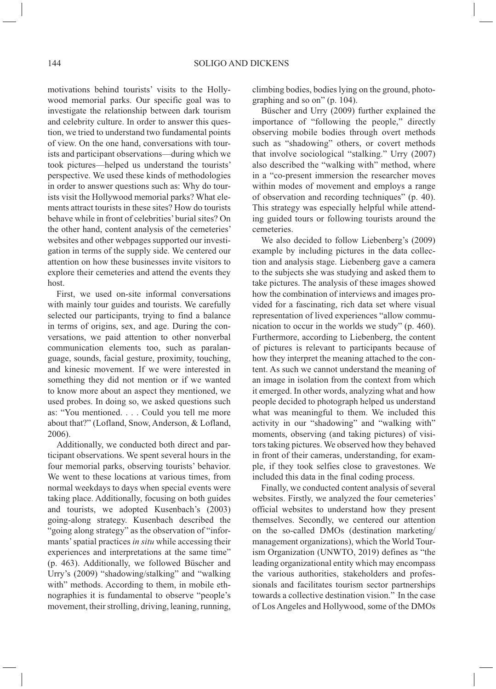motivations behind tourists' visits to the Hollywood memorial parks. Our specific goal was to investigate the relationship between dark tourism and celebrity culture. In order to answer this question, we tried to understand two fundamental points of view. On the one hand, conversations with tourists and participant observations—during which we took pictures—helped us understand the tourists' perspective. We used these kinds of methodologies in order to answer questions such as: Why do tourists visit the Hollywood memorial parks? What elements attract tourists in these sites? How do tourists behave while in front of celebrities' burial sites? On the other hand, content analysis of the cemeteries' websites and other webpages supported our investigation in terms of the supply side. We centered our attention on how these businesses invite visitors to explore their cemeteries and attend the events they host.

First, we used on-site informal conversations with mainly tour guides and tourists. We carefully selected our participants, trying to find a balance in terms of origins, sex, and age. During the conversations, we paid attention to other nonverbal communication elements too, such as paralanguage, sounds, facial gesture, proximity, touching, and kinesic movement. If we were interested in something they did not mention or if we wanted to know more about an aspect they mentioned, we used probes. In doing so, we asked questions such as: "You mentioned. . . . Could you tell me more about that?" (Lofland, Snow, Anderson, & Lofland, 2006).

Additionally, we conducted both direct and participant observations. We spent several hours in the four memorial parks, observing tourists' behavior. We went to these locations at various times, from normal weekdays to days when special events were taking place. Additionally, focusing on both guides and tourists, we adopted Kusenbach's (2003) going-along strategy. Kusenbach described the "going along strategy" as the observation of "informants' spatial practices *in situ* while accessing their experiences and interpretations at the same time" (p. 463). Additionally, we followed Büscher and Urry's (2009) "shadowing/stalking" and "walking with" methods. According to them, in mobile ethnographies it is fundamental to observe "people's movement, their strolling, driving, leaning, running, climbing bodies, bodies lying on the ground, photographing and so on" (p. 104).

Büscher and Urry (2009) further explained the importance of "following the people," directly observing mobile bodies through overt methods such as "shadowing" others, or covert methods that involve sociological "stalking." Urry (2007) also described the "walking with" method, where in a "co-present immersion the researcher moves within modes of movement and employs a range of observation and recording techniques" (p. 40). This strategy was especially helpful while attending guided tours or following tourists around the cemeteries.

We also decided to follow Liebenberg's (2009) example by including pictures in the data collection and analysis stage. Liebenberg gave a camera to the subjects she was studying and asked them to take pictures. The analysis of these images showed how the combination of interviews and images provided for a fascinating, rich data set where visual representation of lived experiences "allow communication to occur in the worlds we study" (p. 460). Furthermore, according to Liebenberg, the content of pictures is relevant to participants because of how they interpret the meaning attached to the content. As such we cannot understand the meaning of an image in isolation from the context from which it emerged. In other words, analyzing what and how people decided to photograph helped us understand what was meaningful to them. We included this activity in our "shadowing" and "walking with" moments, observing (and taking pictures) of visitors taking pictures. We observed how they behaved in front of their cameras, understanding, for example, if they took selfies close to gravestones. We included this data in the final coding process.

Finally, we conducted content analysis of several websites. Firstly, we analyzed the four cemeteries' official websites to understand how they present themselves. Secondly, we centered our attention on the so-called DMOs (destination marketing/ management organizations), which the World Tourism Organization (UNWTO, 2019) defines as "the leading organizational entity which may encompass the various authorities, stakeholders and professionals and facilitates tourism sector partnerships towards a collective destination vision." In the case of Los Angeles and Hollywood, some of the DMOs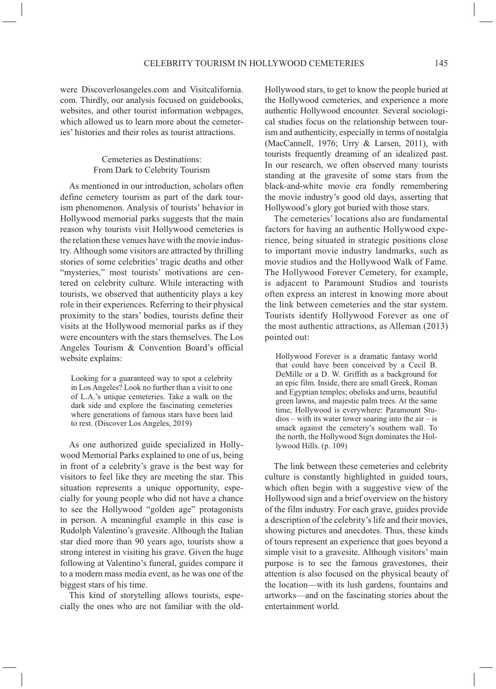were Discoverlosangeles.com and Visitcalifornia. com. Thirdly, our analysis focused on guidebooks, websites, and other tourist information webpages, which allowed us to learn more about the cemeteries' histories and their roles as tourist attractions.

# Cemeteries as Destinations: From Dark to Celebrity Tourism

As mentioned in our introduction, scholars often define cemetery tourism as part of the dark tourism phenomenon. Analysis of tourists' behavior in Hollywood memorial parks suggests that the main reason why tourists visit Hollywood cemeteries is the relation these venues have with the movie industry. Although some visitors are attracted by thrilling stories of some celebrities' tragic deaths and other "mysteries," most tourists' motivations are centered on celebrity culture. While interacting with tourists, we observed that authenticity plays a key role in their experiences. Referring to their physical proximity to the stars' bodies, tourists define their visits at the Hollywood memorial parks as if they were encounters with the stars themselves. The Los Angeles Tourism & Convention Board's official website explains:

Looking for a guaranteed way to spot a celebrity in Los Angeles? Look no further than a visit to one of L.A.'s unique cemeteries. Take a walk on the dark side and explore the fascinating cemeteries where generations of famous stars have been laid to rest. (Discover Los Angeles, 2019)

As one authorized guide specialized in Hollywood Memorial Parks explained to one of us, being in front of a celebrity's grave is the best way for visitors to feel like they are meeting the star. This situation represents a unique opportunity, especially for young people who did not have a chance to see the Hollywood "golden age" protagonists in person. A meaningful example in this case is Rudolph Valentino's gravesite. Although the Italian star died more than 90 years ago, tourists show a strong interest in visiting his grave. Given the huge following at Valentino's funeral, guides compare it to a modern mass media event, as he was one of the biggest stars of his time.

This kind of storytelling allows tourists, especially the ones who are not familiar with the oldHollywood stars, to get to know the people buried at the Hollywood cemeteries, and experience a more authentic Hollywood encounter. Several sociological studies focus on the relationship between tourism and authenticity, especially in terms of nostalgia (MacCannell, 1976; Urry & Larsen, 2011), with tourists frequently dreaming of an idealized past. In our research, we often observed many tourists standing at the gravesite of some stars from the black-and-white movie era fondly remembering the movie industry's good old days, asserting that Hollywood's glory got buried with those stars.

The cemeteries' locations also are fundamental factors for having an authentic Hollywood experience, being situated in strategic positions close to important movie industry landmarks, such as movie studios and the Hollywood Walk of Fame. The Hollywood Forever Cemetery, for example, is adjacent to Paramount Studios and tourists often express an interest in knowing more about the link between cemeteries and the star system. Tourists identify Hollywood Forever as one of the most authentic attractions, as Alleman (2013) pointed out:

Hollywood Forever is a dramatic fantasy world that could have been conceived by a Cecil B. DeMille or a D. W. Griffith as a background for an epic film. Inside, there are small Greek, Roman and Egyptian temples; obelisks and urns, beautiful green lawns, and majestic palm trees. At the same time, Hollywood is everywhere: Paramount Stu $dios - with its water tower soaring into the air - is$ smack against the cemetery's southern wall. To the north, the Hollywood Sign dominates the Hollywood Hills. (p. 109)

The link between these cemeteries and celebrity culture is constantly highlighted in guided tours, which often begin with a suggestive view of the Hollywood sign and a brief overview on the history of the film industry. For each grave, guides provide a description of the celebrity's life and their movies, showing pictures and anecdotes. Thus, these kinds of tours represent an experience that goes beyond a simple visit to a gravesite. Although visitors' main purpose is to see the famous gravestones, their attention is also focused on the physical beauty of the location—with its lush gardens, fountains and artworks—and on the fascinating stories about the entertainment world.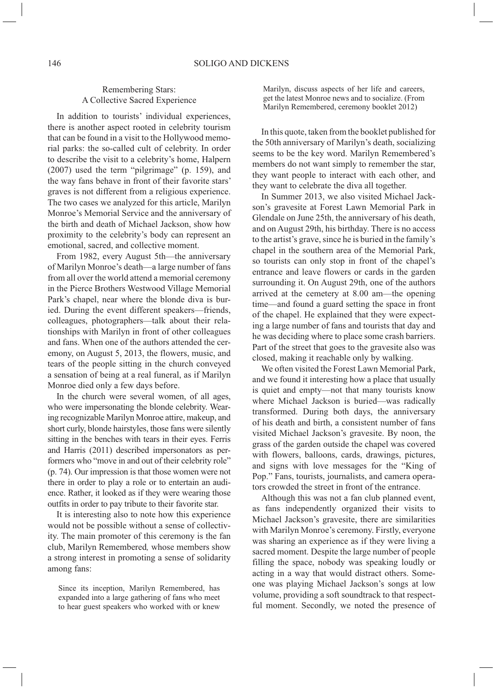## Remembering Stars: A Collective Sacred Experience

In addition to tourists' individual experiences, there is another aspect rooted in celebrity tourism that can be found in a visit to the Hollywood memorial parks: the so-called cult of celebrity. In order to describe the visit to a celebrity's home, Halpern (2007) used the term "pilgrimage" (p. 159), and the way fans behave in front of their favorite stars' graves is not different from a religious experience. The two cases we analyzed for this article, Marilyn Monroe's Memorial Service and the anniversary of the birth and death of Michael Jackson, show how proximity to the celebrity's body can represent an emotional, sacred, and collective moment.

From 1982, every August 5th—the anniversary of Marilyn Monroe's death—a large number of fans from all over the world attend a memorial ceremony in the Pierce Brothers Westwood Village Memorial Park's chapel, near where the blonde diva is buried. During the event different speakers—friends, colleagues, photographers—talk about their relationships with Marilyn in front of other colleagues and fans. When one of the authors attended the ceremony, on August 5, 2013, the flowers, music, and tears of the people sitting in the church conveyed a sensation of being at a real funeral, as if Marilyn Monroe died only a few days before.

In the church were several women, of all ages, who were impersonating the blonde celebrity. Wearing recognizable Marilyn Monroe attire, makeup, and short curly, blonde hairstyles, those fans were silently sitting in the benches with tears in their eyes. Ferris and Harris (2011) described impersonators as performers who "move in and out of their celebrity role" (p. 74). Our impression is that those women were not there in order to play a role or to entertain an audience. Rather, it looked as if they were wearing those outfits in order to pay tribute to their favorite star.

It is interesting also to note how this experience would not be possible without a sense of collectivity. The main promoter of this ceremony is the fan club, Marilyn Remembered*,* whose members show a strong interest in promoting a sense of solidarity among fans:

Marilyn, discuss aspects of her life and careers, get the latest Monroe news and to socialize. (From Marilyn Remembered, ceremony booklet 2012)

In this quote, taken from the booklet published for the 50th anniversary of Marilyn's death, socializing seems to be the key word. Marilyn Remembered's members do not want simply to remember the star, they want people to interact with each other, and they want to celebrate the diva all together.

In Summer 2013, we also visited Michael Jackson's gravesite at Forest Lawn Memorial Park in Glendale on June 25th, the anniversary of his death, and on August 29th, his birthday. There is no access to the artist's grave, since he is buried in the family's chapel in the southern area of the Memorial Park, so tourists can only stop in front of the chapel's entrance and leave flowers or cards in the garden surrounding it. On August 29th, one of the authors arrived at the cemetery at 8.00 am—the opening time—and found a guard setting the space in front of the chapel. He explained that they were expecting a large number of fans and tourists that day and he was deciding where to place some crash barriers. Part of the street that goes to the gravesite also was closed, making it reachable only by walking.

We often visited the Forest Lawn Memorial Park, and we found it interesting how a place that usually is quiet and empty—not that many tourists know where Michael Jackson is buried—was radically transformed. During both days, the anniversary of his death and birth, a consistent number of fans visited Michael Jackson's gravesite. By noon, the grass of the garden outside the chapel was covered with flowers, balloons, cards, drawings, pictures, and signs with love messages for the "King of Pop." Fans, tourists, journalists, and camera operators crowded the street in front of the entrance.

Although this was not a fan club planned event, as fans independently organized their visits to Michael Jackson's gravesite, there are similarities with Marilyn Monroe's ceremony. Firstly, everyone was sharing an experience as if they were living a sacred moment. Despite the large number of people filling the space, nobody was speaking loudly or acting in a way that would distract others. Someone was playing Michael Jackson's songs at low volume, providing a soft soundtrack to that respectful moment. Secondly, we noted the presence of

Since its inception, Marilyn Remembered, has expanded into a large gathering of fans who meet to hear guest speakers who worked with or knew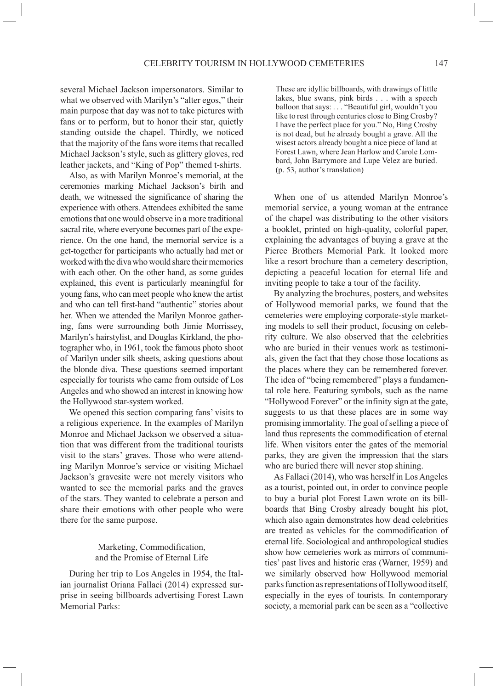several Michael Jackson impersonators. Similar to what we observed with Marilyn's "alter egos," their main purpose that day was not to take pictures with fans or to perform, but to honor their star, quietly standing outside the chapel. Thirdly, we noticed that the majority of the fans wore items that recalled Michael Jackson's style, such as glittery gloves, red leather jackets, and "King of Pop" themed t-shirts.

Also, as with Marilyn Monroe's memorial, at the ceremonies marking Michael Jackson's birth and death, we witnessed the significance of sharing the experience with others. Attendees exhibited the same emotions that one would observe in a more traditional sacral rite, where everyone becomes part of the experience. On the one hand, the memorial service is a get-together for participants who actually had met or worked with the diva who would share their memories with each other. On the other hand, as some guides explained, this event is particularly meaningful for young fans, who can meet people who knew the artist and who can tell first-hand "authentic" stories about her. When we attended the Marilyn Monroe gathering, fans were surrounding both Jimie Morrissey, Marilyn's hairstylist, and Douglas Kirkland, the photographer who, in 1961, took the famous photo shoot of Marilyn under silk sheets, asking questions about the blonde diva. These questions seemed important especially for tourists who came from outside of Los Angeles and who showed an interest in knowing how the Hollywood star-system worked.

We opened this section comparing fans' visits to a religious experience. In the examples of Marilyn Monroe and Michael Jackson we observed a situation that was different from the traditional tourists visit to the stars' graves. Those who were attending Marilyn Monroe's service or visiting Michael Jackson's gravesite were not merely visitors who wanted to see the memorial parks and the graves of the stars. They wanted to celebrate a person and share their emotions with other people who were there for the same purpose.

> Marketing, Commodification, and the Promise of Eternal Life

During her trip to Los Angeles in 1954, the Italian journalist Oriana Fallaci (2014) expressed surprise in seeing billboards advertising Forest Lawn Memorial Parks:

These are idyllic billboards, with drawings of little lakes, blue swans, pink birds . . . with a speech balloon that says: . . . "Beautiful girl, wouldn't you like to rest through centuries close to Bing Crosby? I have the perfect place for you." No, Bing Crosby is not dead, but he already bought a grave. All the wisest actors already bought a nice piece of land at Forest Lawn, where Jean Harlow and Carole Lombard, John Barrymore and Lupe Velez are buried. (p. 53, author's translation)

When one of us attended Marilyn Monroe's memorial service, a young woman at the entrance of the chapel was distributing to the other visitors a booklet, printed on high-quality, colorful paper, explaining the advantages of buying a grave at the Pierce Brothers Memorial Park. It looked more like a resort brochure than a cemetery description, depicting a peaceful location for eternal life and inviting people to take a tour of the facility.

By analyzing the brochures, posters, and websites of Hollywood memorial parks, we found that the cemeteries were employing corporate-style marketing models to sell their product, focusing on celebrity culture. We also observed that the celebrities who are buried in their venues work as testimonials, given the fact that they chose those locations as the places where they can be remembered forever. The idea of "being remembered" plays a fundamental role here. Featuring symbols, such as the name "Hollywood Forever" or the infinity sign at the gate, suggests to us that these places are in some way promising immortality. The goal of selling a piece of land thus represents the commodification of eternal life. When visitors enter the gates of the memorial parks, they are given the impression that the stars who are buried there will never stop shining.

As Fallaci (2014), who was herself in Los Angeles as a tourist, pointed out, in order to convince people to buy a burial plot Forest Lawn wrote on its billboards that Bing Crosby already bought his plot, which also again demonstrates how dead celebrities are treated as vehicles for the commodification of eternal life. Sociological and anthropological studies show how cemeteries work as mirrors of communities' past lives and historic eras (Warner, 1959) and we similarly observed how Hollywood memorial parks function as representations of Hollywood itself, especially in the eyes of tourists. In contemporary society, a memorial park can be seen as a "collective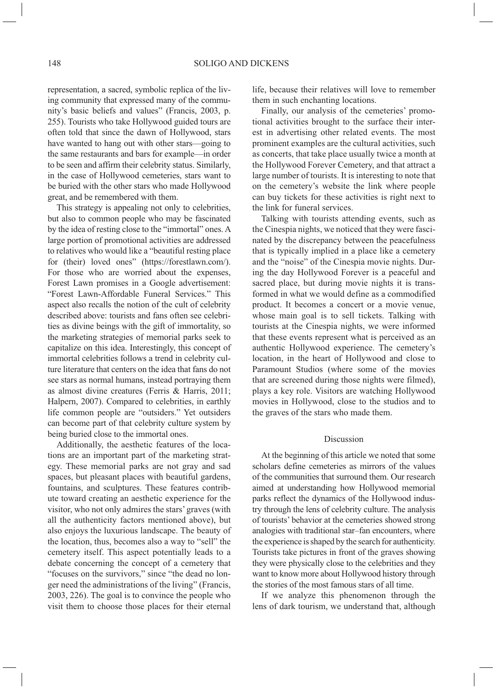representation, a sacred, symbolic replica of the living community that expressed many of the community's basic beliefs and values" (Francis, 2003, p. 255). Tourists who take Hollywood guided tours are often told that since the dawn of Hollywood, stars have wanted to hang out with other stars—going to the same restaurants and bars for example—in order to be seen and affirm their celebrity status. Similarly, in the case of Hollywood cemeteries, stars want to be buried with the other stars who made Hollywood great, and be remembered with them.

This strategy is appealing not only to celebrities, but also to common people who may be fascinated by the idea of resting close to the "immortal" ones. A large portion of promotional activities are addressed to relatives who would like a "beautiful resting place for (their) loved ones" (https://forestlawn.com/). For those who are worried about the expenses, Forest Lawn promises in a Google advertisement: "Forest Lawn-Affordable Funeral Services." This aspect also recalls the notion of the cult of celebrity described above: tourists and fans often see celebrities as divine beings with the gift of immortality, so the marketing strategies of memorial parks seek to capitalize on this idea. Interestingly, this concept of immortal celebrities follows a trend in celebrity culture literature that centers on the idea that fans do not see stars as normal humans, instead portraying them as almost divine creatures (Ferris & Harris, 2011; Halpern, 2007). Compared to celebrities, in earthly life common people are "outsiders." Yet outsiders can become part of that celebrity culture system by being buried close to the immortal ones.

Additionally, the aesthetic features of the locations are an important part of the marketing strategy. These memorial parks are not gray and sad spaces, but pleasant places with beautiful gardens, fountains, and sculptures. These features contribute toward creating an aesthetic experience for the visitor, who not only admires the stars' graves (with all the authenticity factors mentioned above), but also enjoys the luxurious landscape. The beauty of the location, thus, becomes also a way to "sell" the cemetery itself. This aspect potentially leads to a debate concerning the concept of a cemetery that "focuses on the survivors," since "the dead no longer need the administrations of the living" (Francis, 2003, 226). The goal is to convince the people who visit them to choose those places for their eternal

life, because their relatives will love to remember them in such enchanting locations.

Finally, our analysis of the cemeteries' promotional activities brought to the surface their interest in advertising other related events. The most prominent examples are the cultural activities, such as concerts, that take place usually twice a month at the Hollywood Forever Cemetery, and that attract a large number of tourists. It is interesting to note that on the cemetery's website the link where people can buy tickets for these activities is right next to the link for funeral services.

Talking with tourists attending events, such as the Cinespia nights, we noticed that they were fascinated by the discrepancy between the peacefulness that is typically implied in a place like a cemetery and the "noise" of the Cinespia movie nights. During the day Hollywood Forever is a peaceful and sacred place, but during movie nights it is transformed in what we would define as a commodified product. It becomes a concert or a movie venue, whose main goal is to sell tickets. Talking with tourists at the Cinespia nights, we were informed that these events represent what is perceived as an authentic Hollywood experience. The cemetery's location, in the heart of Hollywood and close to Paramount Studios (where some of the movies that are screened during those nights were filmed), plays a key role. Visitors are watching Hollywood movies in Hollywood, close to the studios and to the graves of the stars who made them.

#### Discussion

At the beginning of this article we noted that some scholars define cemeteries as mirrors of the values of the communities that surround them. Our research aimed at understanding how Hollywood memorial parks reflect the dynamics of the Hollywood industry through the lens of celebrity culture. The analysis of tourists' behavior at the cemeteries showed strong analogies with traditional star–fan encounters, where the experience is shaped by the search for authenticity. Tourists take pictures in front of the graves showing they were physically close to the celebrities and they want to know more about Hollywood history through the stories of the most famous stars of all time.

If we analyze this phenomenon through the lens of dark tourism, we understand that, although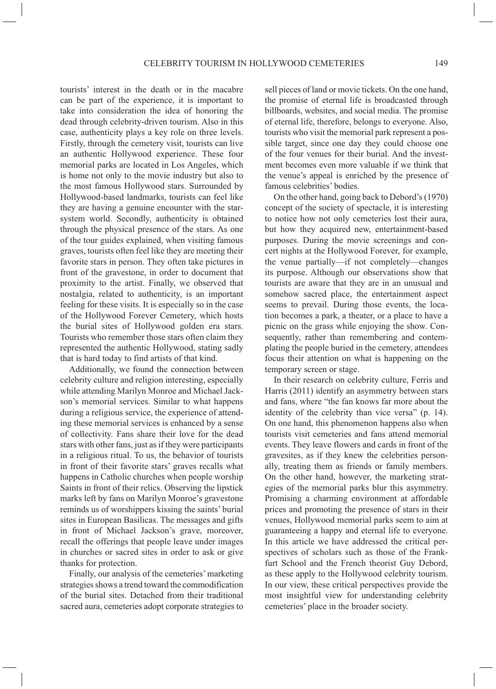tourists' interest in the death or in the macabre can be part of the experience, it is important to take into consideration the idea of honoring the dead through celebrity-driven tourism. Also in this case, authenticity plays a key role on three levels. Firstly, through the cemetery visit, tourists can live an authentic Hollywood experience. These four memorial parks are located in Los Angeles, which is home not only to the movie industry but also to the most famous Hollywood stars. Surrounded by Hollywood-based landmarks, tourists can feel like they are having a genuine encounter with the starsystem world. Secondly, authenticity is obtained through the physical presence of the stars. As one of the tour guides explained, when visiting famous graves, tourists often feel like they are meeting their favorite stars in person. They often take pictures in front of the gravestone, in order to document that proximity to the artist. Finally, we observed that nostalgia, related to authenticity, is an important feeling for these visits. It is especially so in the case of the Hollywood Forever Cemetery, which hosts the burial sites of Hollywood golden era stars. Tourists who remember those stars often claim they represented the authentic Hollywood, stating sadly that is hard today to find artists of that kind.

Additionally, we found the connection between celebrity culture and religion interesting, especially while attending Marilyn Monroe and Michael Jackson's memorial services. Similar to what happens during a religious service, the experience of attending these memorial services is enhanced by a sense of collectivity. Fans share their love for the dead stars with other fans, just as if they were participants in a religious ritual. To us, the behavior of tourists in front of their favorite stars' graves recalls what happens in Catholic churches when people worship Saints in front of their relics. Observing the lipstick marks left by fans on Marilyn Monroe's gravestone reminds us of worshippers kissing the saints' burial sites in European Basilicas. The messages and gifts in front of Michael Jackson's grave, moreover, recall the offerings that people leave under images in churches or sacred sites in order to ask or give thanks for protection.

Finally, our analysis of the cemeteries' marketing strategies shows a trend toward the commodification of the burial sites. Detached from their traditional sacred aura, cemeteries adopt corporate strategies to sell pieces of land or movie tickets. On the one hand, the promise of eternal life is broadcasted through billboards, websites, and social media. The promise of eternal life, therefore, belongs to everyone. Also, tourists who visit the memorial park represent a possible target, since one day they could choose one of the four venues for their burial. And the investment becomes even more valuable if we think that the venue's appeal is enriched by the presence of famous celebrities' bodies.

On the other hand, going back to Debord's (1970) concept of the society of spectacle, it is interesting to notice how not only cemeteries lost their aura, but how they acquired new, entertainment-based purposes. During the movie screenings and concert nights at the Hollywood Forever, for example, the venue partially—if not completely—changes its purpose. Although our observations show that tourists are aware that they are in an unusual and somehow sacred place, the entertainment aspect seems to prevail. During those events, the location becomes a park, a theater, or a place to have a picnic on the grass while enjoying the show. Consequently, rather than remembering and contemplating the people buried in the cemetery, attendees focus their attention on what is happening on the temporary screen or stage.

In their research on celebrity culture, Ferris and Harris (2011) identify an asymmetry between stars and fans, where "the fan knows far more about the identity of the celebrity than vice versa" (p. 14). On one hand, this phenomenon happens also when tourists visit cemeteries and fans attend memorial events. They leave flowers and cards in front of the gravesites, as if they knew the celebrities personally, treating them as friends or family members. On the other hand, however, the marketing strategies of the memorial parks blur this asymmetry. Promising a charming environment at affordable prices and promoting the presence of stars in their venues, Hollywood memorial parks seem to aim at guaranteeing a happy and eternal life to everyone. In this article we have addressed the critical perspectives of scholars such as those of the Frankfurt School and the French theorist Guy Debord, as these apply to the Hollywood celebrity tourism. In our view, these critical perspectives provide the most insightful view for understanding celebrity cemeteries' place in the broader society.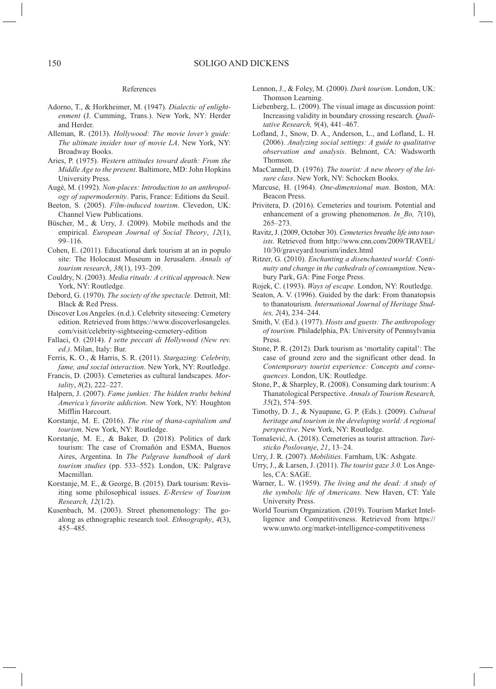#### References

- Adorno, T., & Horkheimer, M. (1947). *Dialectic of enlightenment* (J. Cumming, Trans.). New York, NY: Herder and Herder.
- Alleman, R. (2013). *Hollywood: The movie lover's guide: The ultimate insider tour of movie LA*. New York, NY: Broadway Books.
- Aries, P. (1975). *Western attitudes toward death: From the Middle Age to the present*. Baltimore, MD: John Hopkins University Press.
- Augè, M. (1992). *Non-places: Introduction to an anthropology of supermodernity*. Paris, France: Editions du Seuil.
- Beeton, S. (2005). *Film-induced tourism*. Clevedon, UK: Channel View Publications.
- Büscher, M., & Urry, J. (2009). Mobile methods and the empirical. *European Journal of Social Theory*, *12*(1), 99–116.
- Cohen, E. (2011). Educational dark tourism at an in populo site: The Holocaust Museum in Jerusalem. *Annals of tourism research*, *38*(1), 193–209.
- Couldry, N. (2003). *Media rituals: A critical approach*. New York, NY: Routledge.
- Debord, G. (1970). *The society of the spectacle.* Detroit, MI: Black & Red Press.
- Discover Los Angeles. (n.d.). Celebrity siteseeing: Cemetery edition. Retrieved from https://www.discoverlosangeles. com/visit/celebrity-sightseeing-cemetery-edition
- Fallaci, O. (2014). *I sette peccati di Hollywood (New rev. ed.)*. Milan, Italy: Bur.
- Ferris, K. O., & Harris, S. R. (2011). *Stargazing: Celebrity, fame, and social interaction*. New York, NY: Routledge.
- Francis, D. (2003). Cemeteries as cultural landscapes. *Mortality*, *8*(2), 222–227.
- Halpern, J. (2007). *Fame junkies: The hidden truths behind America's favorite addiction*. New York, NY: Houghton Mifflin Harcourt.
- Korstanje, M. E. (2016). *The rise of thana-capitalism and tourism*. New York, NY: Routledge.
- Korstanje, M. E., & Baker, D. (2018). Politics of dark tourism: The case of Cromañón and ESMA, Buenos Aires, Argentina. In *The Palgrave handbook of dark tourism studies* (pp. 533–552). London, UK: Palgrave Macmillan.
- Korstanje, M. E., & George, B. (2015). Dark tourism: Revisiting some philosophical issues. *E-Review of Tourism Research, 12*(1/2).
- Kusenbach, M. (2003). Street phenomenology: The goalong as ethnographic research tool. *Ethnography*, *4*(3), 455–485.
- Lennon, J., & Foley, M. (2000). *Dark tourism*. London, UK: Thomson Learning.
- Liebenberg, L. (2009). The visual image as discussion point: Increasing validity in boundary crossing research. *Qualitative Research, 9*(4), 441–467.
- Lofland, J., Snow, D. A., Anderson, L., and Lofland, L. H. (2006). *Analyzing social settings: A guide to qualitative observation and analysis*. Belmont, CA: Wadsworth Thomson.
- MacCannell, D. (1976). *The tourist: A new theory of the leisure class*. New York, NY: Schocken Books.
- Marcuse, H. (1964). *One-dimensional man*. Boston, MA: Beacon Press.
- Privitera, D. (2016). Cemeteries and tourism. Potential and enhancement of a growing phenomenon. *In\_Bo, 7*(10), 265–273.
- Ravitz, J. (2009, October 30). *Cemeteries breathe life into tourists*. Retrieved from http://www.cnn.com/2009/TRAVEL/ 10/30/graveyard.tourism/index.html
- Ritzer, G. (2010). *Enchanting a disenchanted world: Continuity and change in the cathedrals of consumption*. Newbury Park, GA: Pine Forge Press.
- Rojek, C. (1993). *Ways of escape*. London, NY: Routledge.
- Seaton, A. V. (1996). Guided by the dark: From thanatopsis to thanatourism. *International Journal of Heritage Studies, 2*(4), 234–244.
- Smith, V. (Ed.). (1977). *Hosts and guests: The anthropology of tourism.* Philadelphia, PA: University of Pennsylvania Press.
- Stone, P. R. (2012). Dark tourism as 'mortality capital': The case of ground zero and the significant other dead. In *Contemporary tourist experience: Concepts and consequences*. London, UK: Routledge.
- Stone, P., & Sharpley, R. (2008). Consuming dark tourism: A Thanatological Perspective. *Annals of Tourism Research, 35*(2), 574–595.
- Timothy, D. J., & Nyaupane, G. P. (Eds.). (2009). *Cultural heritage and tourism in the developing world: A regional perspective*. New York, NY: Routledge.
- Tomašević, A. (2018). Cemeteries as tourist attraction. *Turisticko Poslovanje*, *21*, 13–24.
- Urry, J. R. (2007). *Mobilities*. Farnham, UK: Ashgate.
- Urry, J., & Larsen, J. (2011). *The tourist gaze 3.0.* Los Angeles, CA: SAGE.
- Warner, L. W. (1959). *The living and the dead: A study of the symbolic life of Americans*. New Haven, CT: Yale University Press.
- World Tourism Organization. (2019). Tourism Market Intelligence and Competitiveness. Retrieved from https:// www.unwto.org/market-intelligence-competitiveness